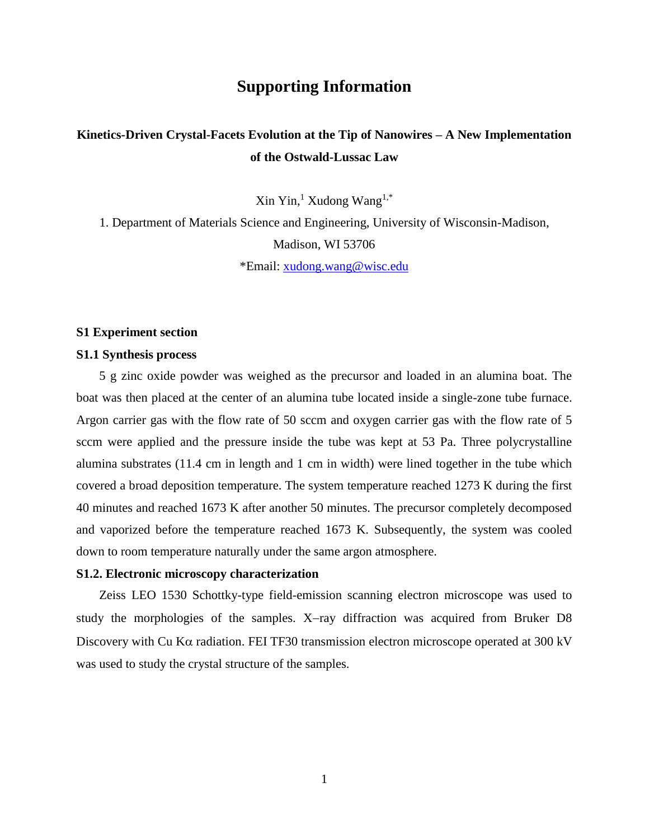# **Supporting Information**

# **Kinetics-Driven Crystal-Facets Evolution at the Tip of Nanowires – A New Implementation of the Ostwald-Lussac Law**

 $\mathrm{Xin}\ \mathrm{Yin}^1$ , Xudong Wang<sup>1,\*</sup>

1. Department of Materials Science and Engineering, University of Wisconsin-Madison, Madison, WI 53706

\*Email: [xudong.wang@wisc.edu](mailto:xudong.wang@wisc.edu)

#### **S1 Experiment section**

#### **S1.1 Synthesis process**

5 g zinc oxide powder was weighed as the precursor and loaded in an alumina boat. The boat was then placed at the center of an alumina tube located inside a single-zone tube furnace. Argon carrier gas with the flow rate of 50 sccm and oxygen carrier gas with the flow rate of 5 sccm were applied and the pressure inside the tube was kept at 53 Pa. Three polycrystalline alumina substrates (11.4 cm in length and 1 cm in width) were lined together in the tube which covered a broad deposition temperature. The system temperature reached 1273 K during the first 40 minutes and reached 1673 K after another 50 minutes. The precursor completely decomposed and vaporized before the temperature reached 1673 K. Subsequently, the system was cooled down to room temperature naturally under the same argon atmosphere.

#### **S1.2. Electronic microscopy characterization**

Zeiss LEO 1530 Schottky-type field-emission scanning electron microscope was used to study the morphologies of the samples.  $X$ -ray diffraction was acquired from Bruker D8 Discovery with Cu K $\alpha$  radiation. FEI TF30 transmission electron microscope operated at 300 kV was used to study the crystal structure of the samples.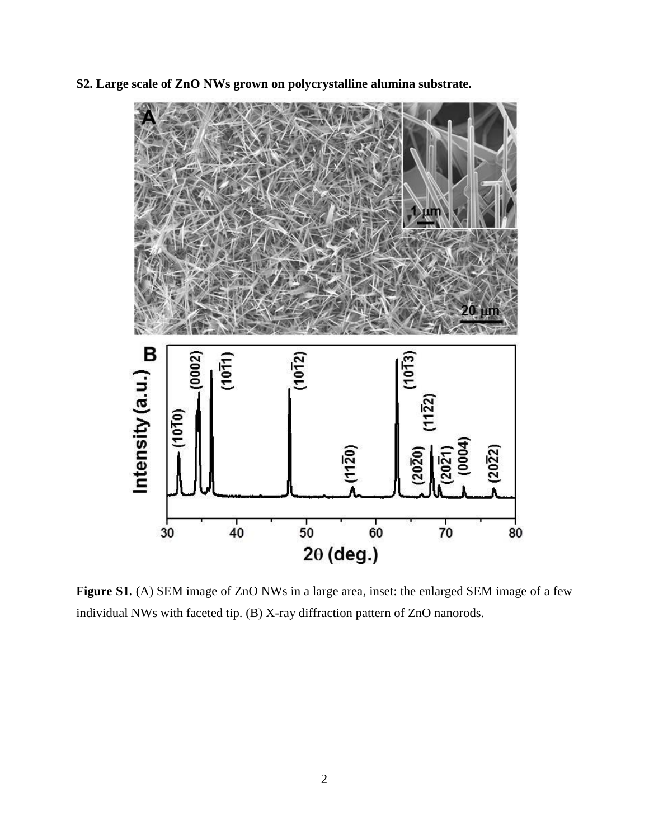**S2. Large scale of ZnO NWs grown on polycrystalline alumina substrate.**



Figure S1. (A) SEM image of ZnO NWs in a large area, inset: the enlarged SEM image of a few individual NWs with faceted tip. (B) X-ray diffraction pattern of ZnO nanorods.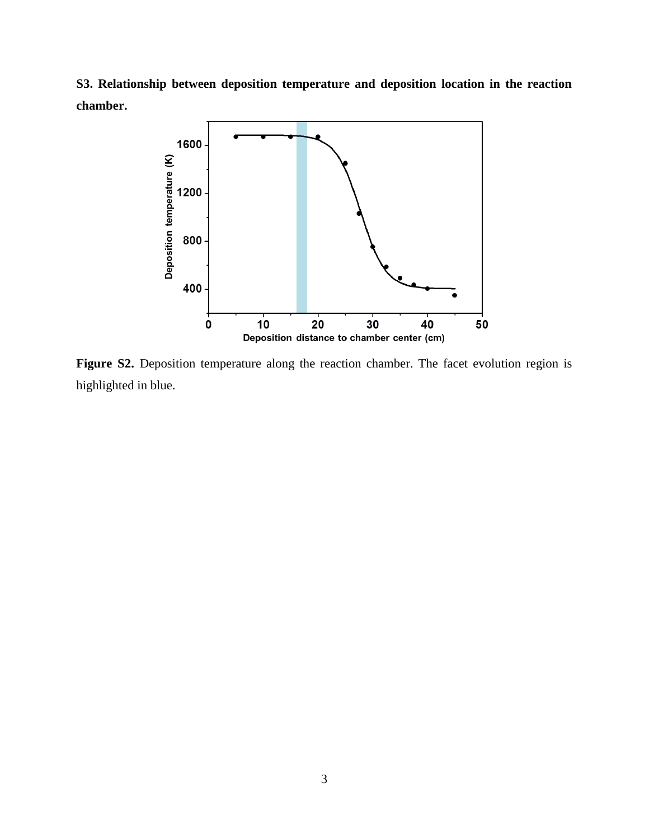**S3. Relationship between deposition temperature and deposition location in the reaction chamber.**



Figure S2. Deposition temperature along the reaction chamber. The facet evolution region is highlighted in blue.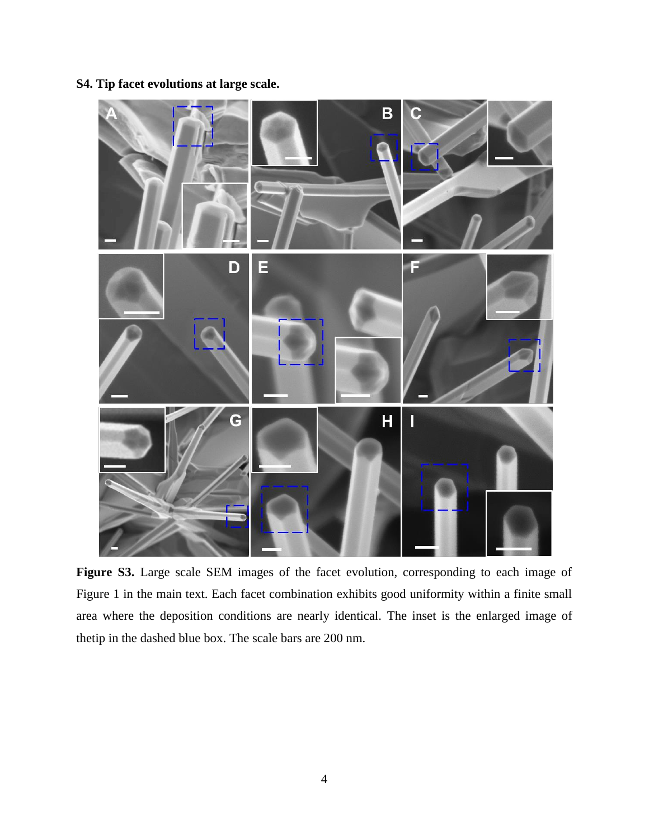## **S4. Tip facet evolutions at large scale.**



Figure S3. Large scale SEM images of the facet evolution, corresponding to each image of Figure 1 in the main text. Each facet combination exhibits good uniformity within a finite small area where the deposition conditions are nearly identical. The inset is the enlarged image of thetip in the dashed blue box. The scale bars are 200 nm.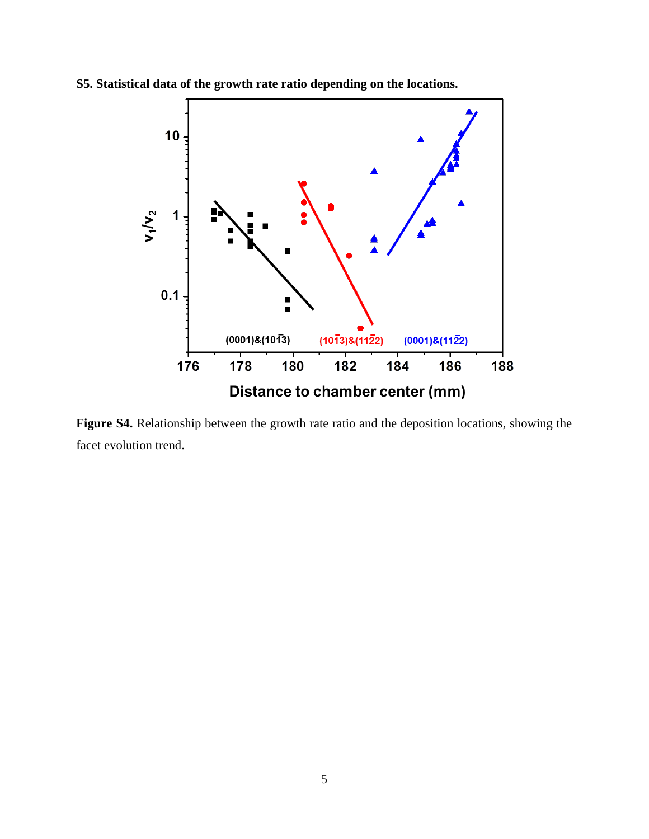

**S5. Statistical data of the growth rate ratio depending on the locations.**

**Figure S4.** Relationship between the growth rate ratio and the deposition locations, showing the facet evolution trend.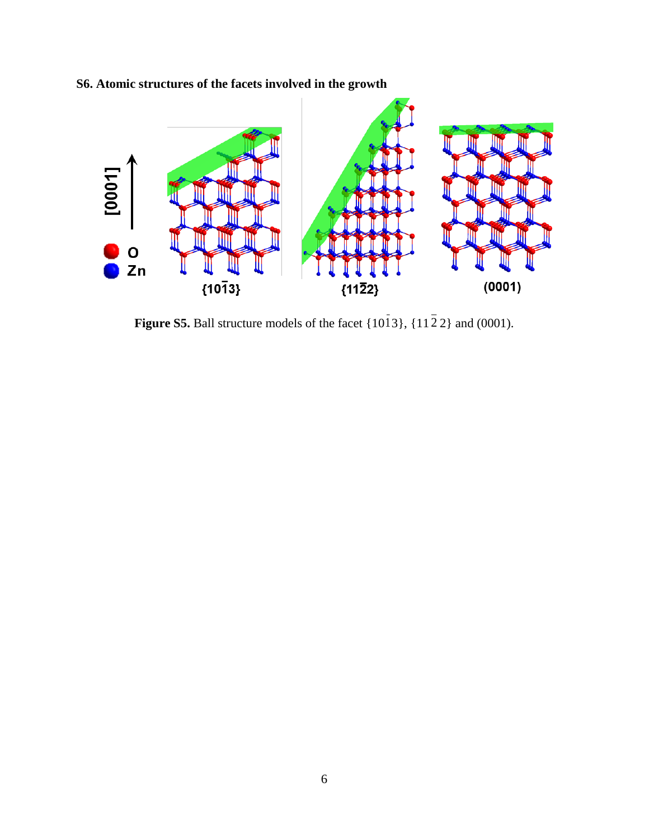

**S6. Atomic structures of the facets involved in the growth**

**Figure S5.** Ball structure models of the facet  $\{1013\}$ ,  $\{1122\}$  and  $(0001)$ .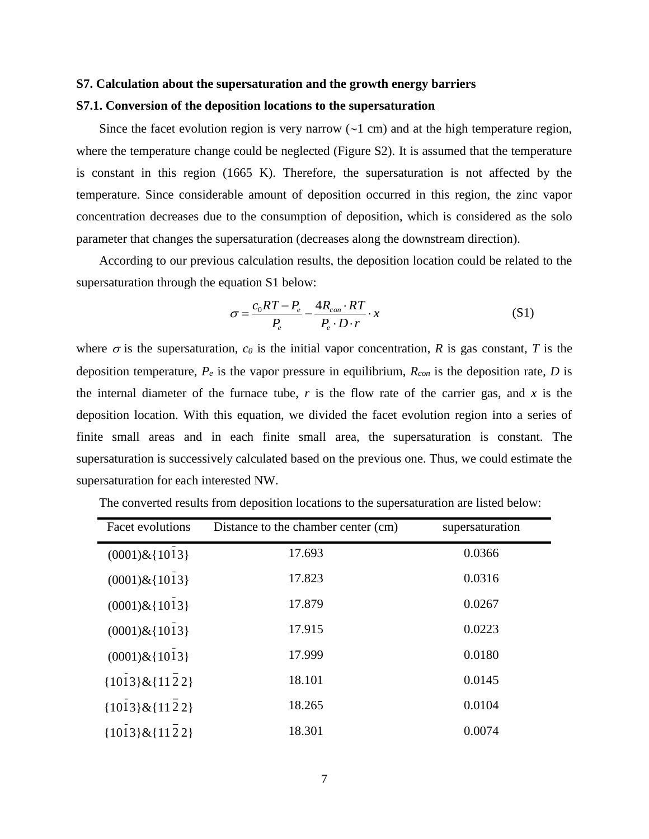#### **S7. Calculation about the supersaturation and the growth energy barriers**

#### **S7.1. Conversion of the deposition locations to the supersaturation**

Since the facet evolution region is very narrow  $(\sim 1 \text{ cm})$  and at the high temperature region, where the temperature change could be neglected (Figure S2). It is assumed that the temperature is constant in this region (1665 K). Therefore, the supersaturation is not affected by the temperature. Since considerable amount of deposition occurred in this region, the zinc vapor concentration decreases due to the consumption of deposition, which is considered as the solo parameter that changes the supersaturation (decreases along the downstream direction).

According to our previous calculation results, the deposition location could be related to the supersaturation through the equation S1 below:

$$
\sigma = \frac{c_0 RT - P_e}{P_e} - \frac{4R_{con} \cdot RT}{P_e \cdot D \cdot r} \cdot x
$$
\n(S1)

where  $\sigma$  is the supersaturation,  $c_0$  is the initial vapor concentration,  $R$  is gas constant,  $T$  is the deposition temperature, *P<sup>e</sup>* is the vapor pressure in equilibrium, *Rcon* is the deposition rate, *D* is the internal diameter of the furnace tube,  $r$  is the flow rate of the carrier gas, and  $x$  is the deposition location. With this equation, we divided the facet evolution region into a series of finite small areas and in each finite small area, the supersaturation is constant. The supersaturation is successively calculated based on the previous one. Thus, we could estimate the supersaturation for each interested NW.

| Facet evolutions    | Distance to the chamber center (cm) | supersaturation |
|---------------------|-------------------------------------|-----------------|
| $(0001)$ &{1013}    | 17.693                              | 0.0366          |
| $(0001)$ &{1013}    | 17.823                              | 0.0316          |
| $(0001)$ &{1013}    | 17.879                              | 0.0267          |
| $(0001)$ &{1013}    | 17.915                              | 0.0223          |
| $(0001)$ &{1013}    | 17.999                              | 0.0180          |
| ${1013}$ & ${1122}$ | 18.101                              | 0.0145          |
| ${1013}$ & ${1122}$ | 18.265                              | 0.0104          |
| ${1013}$ & ${1122}$ | 18.301                              | 0.0074          |

The converted results from deposition locations to the supersaturation are listed below: